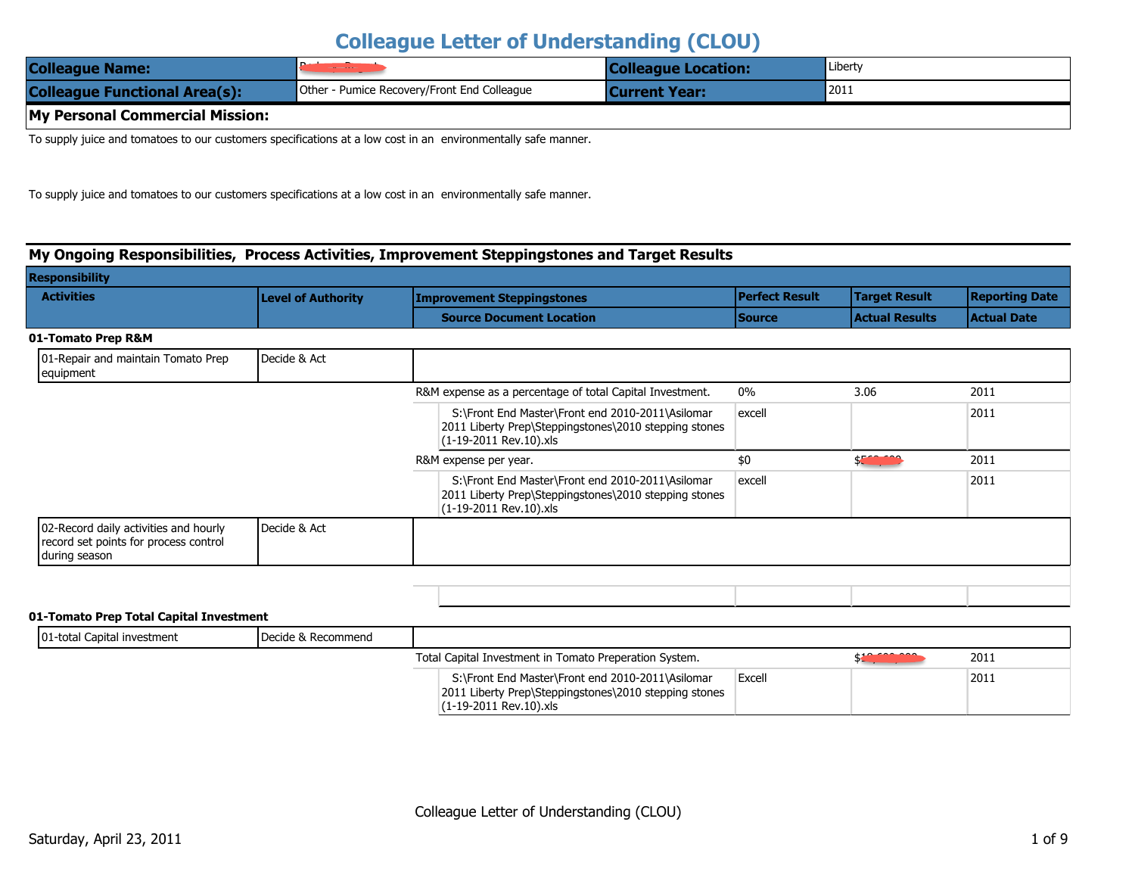| <b>Colleague Name:</b>               | and the contract of the contract of         | <b>Colleague Location:</b> | Liberty |
|--------------------------------------|---------------------------------------------|----------------------------|---------|
| <b>Colleague Functional Area(s):</b> | Other - Pumice Recovery/Front End Colleague | <b>Current Year:</b>       | 2011    |
| My Personal Commercial Mission:      |                                             |                            |         |

To supply juice and tomatoes to our customers specifications at a low cost in an environmentally safe manner.

To supply juice and tomatoes to our customers specifications at a low cost in an environmentally safe manner.

#### My Ongoing Responsibilities, Process Activities, Improvement Steppingstones and Target Results

| esponsibility                                   |                           |                                                          |                       |                       |                       |  |
|-------------------------------------------------|---------------------------|----------------------------------------------------------|-----------------------|-----------------------|-----------------------|--|
| <b>Activities</b>                               | <b>Level of Authority</b> | <b>Improvement Steppingstones</b>                        | <b>Perfect Result</b> | <b>Target Result</b>  | <b>Reporting Date</b> |  |
|                                                 |                           | <b>Source Document Location</b>                          | l Source              | <b>Actual Results</b> | <b>Actual Date</b>    |  |
| 1-Tomato Prep R&M                               |                           |                                                          |                       |                       |                       |  |
| 01-Repair and maintain Tomato Prep<br>equipment | Decide & Act              |                                                          |                       |                       |                       |  |
|                                                 |                           | R&M expense as a percentage of total Capital Investment. | 0%                    | 3.06                  | 2011                  |  |

S:\Front End Master\Front end 2010-2011\Asilomar

excell

|                                                                                                 |              | 2011 Liberty Prep\Steppingstones\2010 stepping stones<br>1.1-19-2011 Rev.10).xls                                                    |        |                        |      |
|-------------------------------------------------------------------------------------------------|--------------|-------------------------------------------------------------------------------------------------------------------------------------|--------|------------------------|------|
|                                                                                                 |              | R&M expense per year.                                                                                                               | \$0    | \$ <b>Extra minima</b> | 2011 |
|                                                                                                 |              | S:\Front End Master\Front end 2010-2011\Asilomar<br>2011 Liberty Prep\Steppingstones\2010 stepping stones<br>(1-19-2011 Rev.10).xls | excell |                        | 2011 |
| 02-Record daily activities and hourly<br>record set points for process control<br>during season | Decide & Act |                                                                                                                                     |        |                        |      |

#### 01-Tomato Prep Total Capital Investment

 $\overline{\mathbf{R}}$ 

| 01-total Capital investment | Decide & Recommend |                                                                                                                                      |        |              |      |
|-----------------------------|--------------------|--------------------------------------------------------------------------------------------------------------------------------------|--------|--------------|------|
|                             |                    | Total Capital Investment in Tomato Preperation System.                                                                               |        | . . <u>.</u> | 2011 |
|                             |                    | S:\Front End Master\Front end 2010-2011\Asilomar<br>2011 Liberty Prep\Steppingstones\2010 stepping stones<br>1.1-19-2011 Rev.10).xls | Excell |              | 2011 |

2011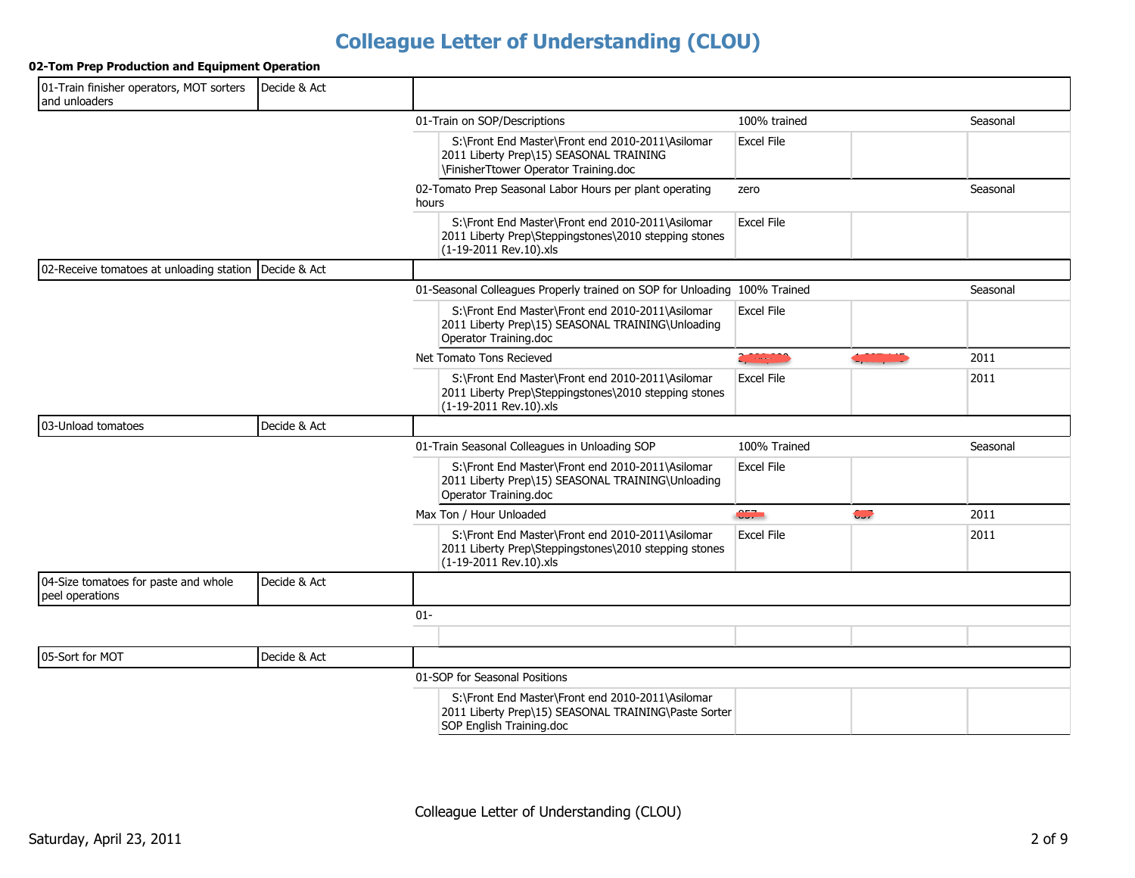#### 02-Tom Prep Production and Equipment Operation

| 01-Train finisher operators, MOT sorters<br>and unloaders | Decide & Act |                                                                                                                                      |                       |                          |          |
|-----------------------------------------------------------|--------------|--------------------------------------------------------------------------------------------------------------------------------------|-----------------------|--------------------------|----------|
|                                                           |              | 01-Train on SOP/Descriptions                                                                                                         | 100% trained          |                          | Seasonal |
|                                                           |              | S:\Front End Master\Front end 2010-2011\Asilomar<br>2011 Liberty Prep\15) SEASONAL TRAINING<br>\FinisherTtower Operator Training.doc | <b>Excel File</b>     |                          |          |
|                                                           |              | 02-Tomato Prep Seasonal Labor Hours per plant operating<br>hours                                                                     | zero                  |                          | Seasonal |
|                                                           |              | S:\Front End Master\Front end 2010-2011\Asilomar<br>2011 Liberty Prep\Steppingstones\2010 stepping stones<br>(1-19-2011 Rev. 10).xls | Excel File            |                          |          |
| 02-Receive tomatoes at unloading station                  | Decide & Act |                                                                                                                                      |                       |                          |          |
|                                                           |              | 01-Seasonal Colleagues Properly trained on SOP for Unloading 100% Trained                                                            |                       |                          | Seasonal |
|                                                           |              | S:\Front End Master\Front end 2010-2011\Asilomar<br>2011 Liberty Prep\15) SEASONAL TRAINING\Unloading<br>Operator Training.doc       | <b>Excel File</b>     |                          |          |
|                                                           |              | Net Tomato Tons Recieved                                                                                                             | <b>CALL AND STATE</b> | <u>ajuan julio</u>       | 2011     |
|                                                           |              | S:\Front End Master\Front end 2010-2011\Asilomar<br>2011 Liberty Prep\Steppingstones\2010 stepping stones<br>(1-19-2011 Rev.10).xls  | <b>Excel File</b>     |                          | 2011     |
| 03-Unload tomatoes                                        | Decide & Act |                                                                                                                                      |                       |                          |          |
|                                                           |              | 01-Train Seasonal Colleagues in Unloading SOP                                                                                        | 100% Trained          |                          | Seasonal |
|                                                           |              | S:\Front End Master\Front end 2010-2011\Asilomar<br>2011 Liberty Prep\15) SEASONAL TRAINING\Unloading<br>Operator Training.doc       | <b>Excel File</b>     |                          |          |
|                                                           |              | Max Ton / Hour Unloaded                                                                                                              | 657                   | $\overline{\phantom{a}}$ | 2011     |
|                                                           |              | S:\Front End Master\Front end 2010-2011\Asilomar<br>2011 Liberty Prep\Steppingstones\2010 stepping stones<br>(1-19-2011 Rev.10).xls  | <b>Excel File</b>     |                          | 2011     |
| 04-Size tomatoes for paste and whole<br>peel operations   | Decide & Act |                                                                                                                                      |                       |                          |          |
|                                                           |              | $01 -$                                                                                                                               |                       |                          |          |
|                                                           |              |                                                                                                                                      |                       |                          |          |
| 05-Sort for MOT                                           | Decide & Act |                                                                                                                                      |                       |                          |          |
|                                                           |              | 01-SOP for Seasonal Positions                                                                                                        |                       |                          |          |
|                                                           |              | S:\Front End Master\Front end 2010-2011\Asilomar<br>2011 Liberty Prep\15) SEASONAL TRAINING\Paste Sorter<br>SOP English Training.doc |                       |                          |          |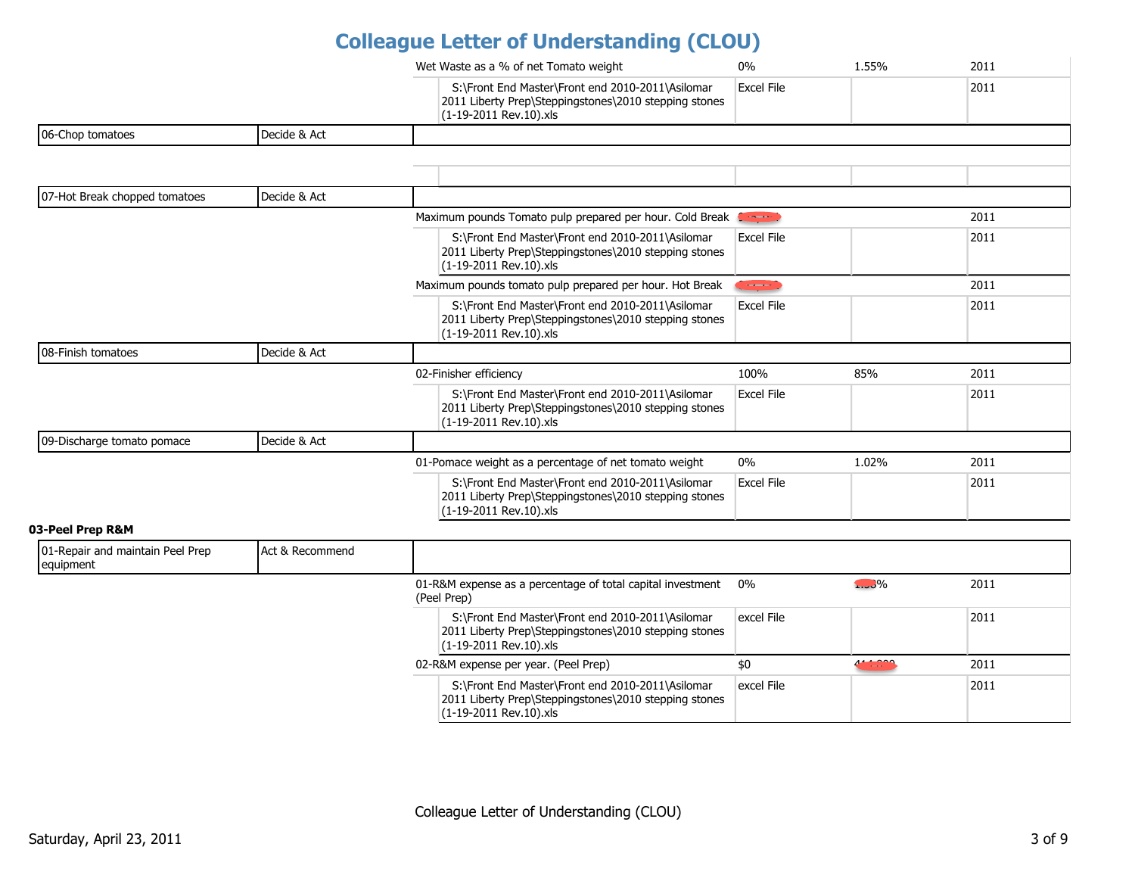|                                               |                 | Wet Waste as a % of net Tomato weight                                                                                               | $0\%$             | 1.55% | 2011 |
|-----------------------------------------------|-----------------|-------------------------------------------------------------------------------------------------------------------------------------|-------------------|-------|------|
|                                               |                 | S:\Front End Master\Front end 2010-2011\Asilomar<br>2011 Liberty Prep\Steppingstones\2010 stepping stones<br>(1-19-2011 Rev.10).xls | <b>Excel File</b> |       | 2011 |
| 06-Chop tomatoes                              | Decide & Act    |                                                                                                                                     |                   |       |      |
|                                               |                 |                                                                                                                                     |                   |       |      |
|                                               |                 |                                                                                                                                     |                   |       |      |
| 07-Hot Break chopped tomatoes                 | Decide & Act    |                                                                                                                                     |                   |       |      |
|                                               |                 | Maximum pounds Tomato pulp prepared per hour. Cold Break Service                                                                    |                   |       | 2011 |
|                                               |                 | S:\Front End Master\Front end 2010-2011\Asilomar<br>2011 Liberty Prep\Steppingstones\2010 stepping stones<br>(1-19-2011 Rev.10).xls | <b>Excel File</b> |       | 2011 |
|                                               |                 | Maximum pounds tomato pulp prepared per hour. Hot Break                                                                             | $\sim$ $\sim$     |       | 2011 |
|                                               |                 | S:\Front End Master\Front end 2010-2011\Asilomar<br>2011 Liberty Prep\Steppingstones\2010 stepping stones<br>(1-19-2011 Rev.10).xls | <b>Excel File</b> |       | 2011 |
| 08-Finish tomatoes                            | Decide & Act    |                                                                                                                                     |                   |       |      |
|                                               |                 | 02-Finisher efficiency                                                                                                              | 100%              | 85%   | 2011 |
|                                               |                 | S:\Front End Master\Front end 2010-2011\Asilomar<br>2011 Liberty Prep\Steppingstones\2010 stepping stones<br>(1-19-2011 Rev.10).xls | <b>Excel File</b> |       | 2011 |
| 09-Discharge tomato pomace                    | Decide & Act    |                                                                                                                                     |                   |       |      |
|                                               |                 | 01-Pomace weight as a percentage of net tomato weight                                                                               | $0\%$             | 1.02% | 2011 |
|                                               |                 | S:\Front End Master\Front end 2010-2011\Asilomar<br>2011 Liberty Prep\Steppingstones\2010 stepping stones<br>(1-19-2011 Rev.10).xls | <b>Excel File</b> |       | 2011 |
| 03-Peel Prep R&M                              |                 |                                                                                                                                     |                   |       |      |
| 01-Repair and maintain Peel Prep<br>equipment | Act & Recommend |                                                                                                                                     |                   |       |      |

| equipment |                                                                                                                                     |            |                                                  |      |
|-----------|-------------------------------------------------------------------------------------------------------------------------------------|------------|--------------------------------------------------|------|
|           | 01-R&M expense as a percentage of total capital investment 0%<br>(Peel Prep)                                                        |            | $\sim$ $\frac{9}{6}$                             | 2011 |
|           | S:\Front End Master\Front end 2010-2011\Asilomar<br>2011 Liberty Prep\Steppingstones\2010 stepping stones<br>(1-19-2011 Rev.10) xls | excel File |                                                  | 2011 |
|           | 02-R&M expense per year. (Peel Prep)                                                                                                | \$0        | , <u>, , , , , ,</u><br><b>Contract Contract</b> | 2011 |
|           | S:\Front End Master\Front end 2010-2011\Asilomar<br>2011 Liberty Prep\Steppingstones\2010 stepping stones<br>(1-19-2011 Rev.10).xls | excel File |                                                  | 2011 |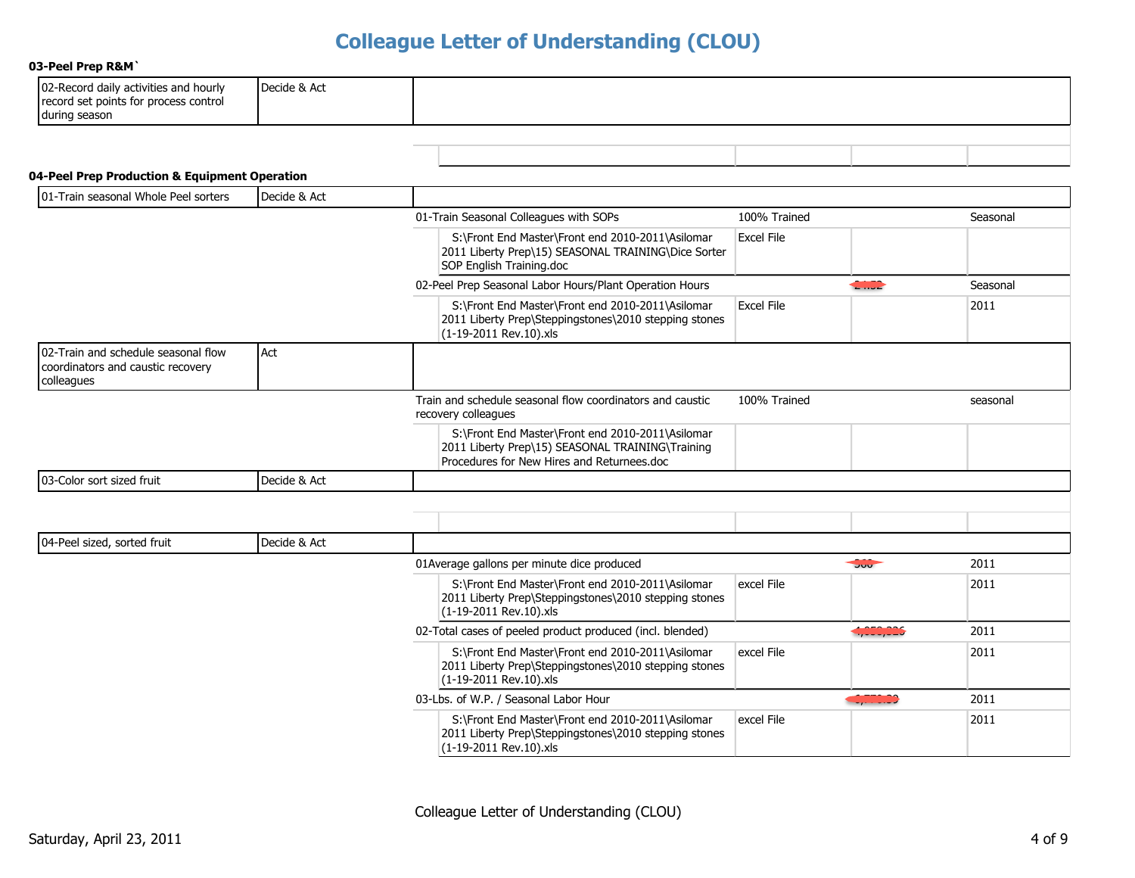#### 03-Peel Prep R&M'

| 102-Record<br>d daily activities and hourly | Decide & Act |  |
|---------------------------------------------|--------------|--|
| record set points for process control       |              |  |
| during season                               |              |  |

#### 04-Peel Prep Production & Equipment Operation

| 101-Train seasonal Whole Peel sorters                                                  | Decide & Act |                                                                                                                                                    |                   |               |          |
|----------------------------------------------------------------------------------------|--------------|----------------------------------------------------------------------------------------------------------------------------------------------------|-------------------|---------------|----------|
|                                                                                        |              | 01-Train Seasonal Colleagues with SOPs                                                                                                             | 100% Trained      |               | Seasonal |
|                                                                                        |              | S:\Front End Master\Front end 2010-2011\Asilomar<br>2011 Liberty Prep\15) SEASONAL TRAINING\Dice Sorter<br>SOP English Training.doc                | <b>Excel File</b> |               |          |
|                                                                                        |              | 02-Peel Prep Seasonal Labor Hours/Plant Operation Hours                                                                                            |                   | <b>CHILD2</b> | Seasonal |
|                                                                                        |              | S:\Front End Master\Front end 2010-2011\Asilomar<br>2011 Liberty Prep\Steppingstones\2010 stepping stones<br>(1-19-2011 Rev.10).xls                | <b>Excel File</b> |               | 2011     |
| 02-Train and schedule seasonal flow<br>coordinators and caustic recovery<br>colleagues | Act          |                                                                                                                                                    |                   |               |          |
|                                                                                        |              | Train and schedule seasonal flow coordinators and caustic<br>recovery colleagues                                                                   | 100% Trained      |               | seasonal |
|                                                                                        |              | S:\Front End Master\Front end 2010-2011\Asilomar<br>2011 Liberty Prep\15) SEASONAL TRAINING\Training<br>Procedures for New Hires and Returnees.doc |                   |               |          |
| 03-Color sort sized fruit                                                              | Decide & Act |                                                                                                                                                    |                   |               |          |
|                                                                                        |              |                                                                                                                                                    |                   |               |          |
|                                                                                        |              |                                                                                                                                                    |                   |               |          |
| 04-Peel sized, sorted fruit                                                            | Decide & Act |                                                                                                                                                    |                   |               |          |
|                                                                                        |              | 01Average gallons per minute dice produced                                                                                                         |                   | 500           | 2011     |
|                                                                                        |              | S:\Front End Master\Front end 2010-2011\Asilomar<br>2011 Liberty Prep\Steppingstones\2010 stepping stones<br>(1-19-2011 Rev.10).xls                | excel File        |               | 2011     |
|                                                                                        |              | 02-Total cases of peeled product produced (incl. blended)                                                                                          |                   | 4,000,006     | 2011     |
|                                                                                        |              | S:\Front End Master\Front end 2010-2011\Asilomar<br>2011 Liberty Prep\Steppingstones\2010 stepping stones<br>(1-19-2011 Rev.10).xls                | excel File        |               | 2011     |
|                                                                                        |              | 03-Lbs. of W.P. / Seasonal Labor Hour                                                                                                              |                   | 0,000.00      | 2011     |
|                                                                                        |              | S:\Front End Master\Front end 2010-2011\Asilomar<br>2011 Liberty Prep\Steppingstones\2010 stepping stones<br>(1-19-2011 Rev.10).xls                | excel File        |               | 2011     |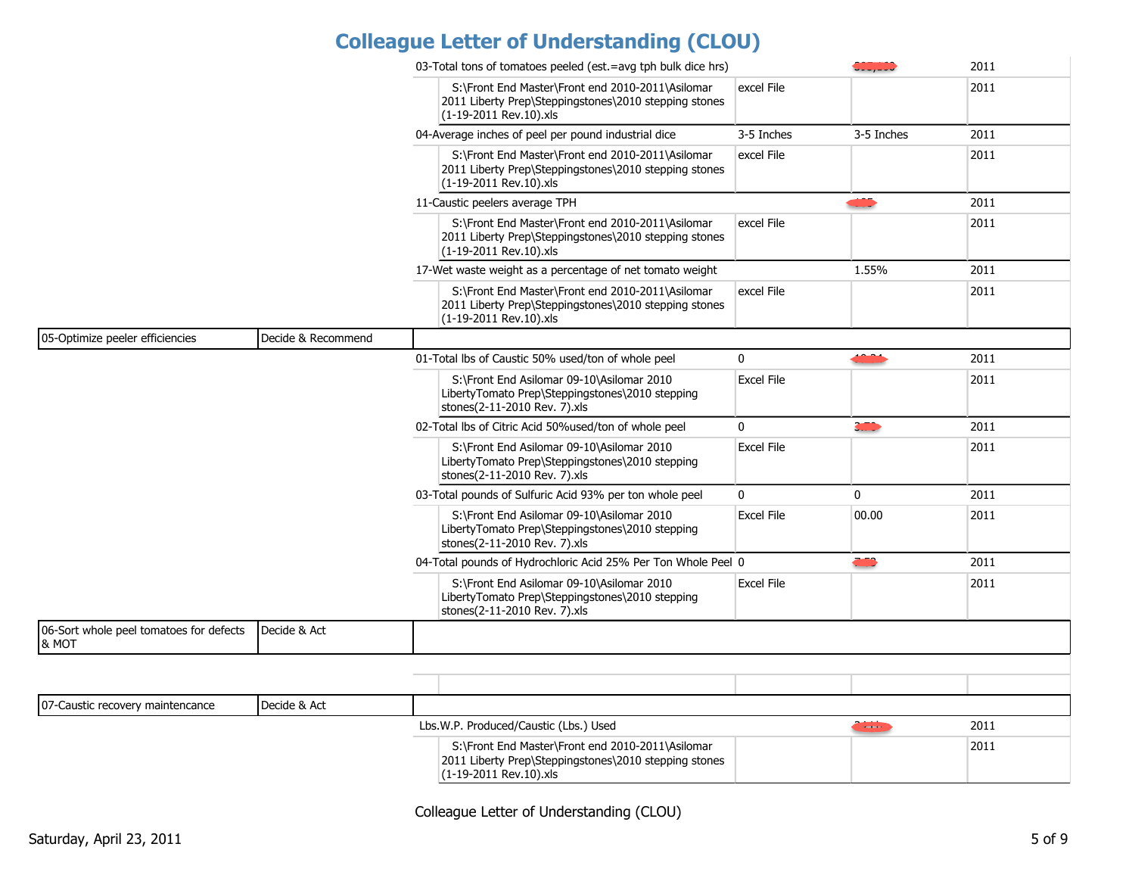|                                                  |                    | 03-Total tons of tomatoes peeled (est.=avg tph bulk dice hrs)                                                                       |                   | -------       | 2011 |
|--------------------------------------------------|--------------------|-------------------------------------------------------------------------------------------------------------------------------------|-------------------|---------------|------|
|                                                  |                    | S:\Front End Master\Front end 2010-2011\Asilomar<br>2011 Liberty Prep\Steppingstones\2010 stepping stones<br>(1-19-2011 Rev.10).xls | excel File        |               | 2011 |
|                                                  |                    | 04-Average inches of peel per pound industrial dice                                                                                 | 3-5 Inches        | 3-5 Inches    | 2011 |
|                                                  |                    | S:\Front End Master\Front end 2010-2011\Asilomar<br>2011 Liberty Prep\Steppingstones\2010 stepping stones<br>(1-19-2011 Rev.10).xls | excel File        |               | 2011 |
|                                                  |                    | 11-Caustic peelers average TPH                                                                                                      |                   | ٩Ō            | 2011 |
|                                                  |                    | S:\Front End Master\Front end 2010-2011\Asilomar<br>2011 Liberty Prep\Steppingstones\2010 stepping stones<br>(1-19-2011 Rev.10).xls | excel File        |               | 2011 |
|                                                  |                    | 17-Wet waste weight as a percentage of net tomato weight                                                                            |                   | 1.55%         | 2011 |
|                                                  |                    | S:\Front End Master\Front end 2010-2011\Asilomar<br>2011 Liberty Prep\Steppingstones\2010 stepping stones<br>(1-19-2011 Rev.10).xls | excel File        |               | 2011 |
| 05-Optimize peeler efficiencies                  | Decide & Recommend |                                                                                                                                     |                   |               |      |
|                                                  |                    | 01-Total lbs of Caustic 50% used/ton of whole peel                                                                                  | $\Omega$          | <b>CONTRA</b> | 2011 |
|                                                  |                    | S:\Front End Asilomar 09-10\Asilomar 2010<br>LibertyTomato Prep\Steppingstones\2010 stepping<br>stones(2-11-2010 Rev. 7).xls        | <b>Excel File</b> |               | 2011 |
|                                                  |                    | 02-Total lbs of Citric Acid 50%used/ton of whole peel                                                                               | $\mathbf 0$       |               | 2011 |
|                                                  |                    | S:\Front End Asilomar 09-10\Asilomar 2010<br>LibertyTomato Prep\Steppingstones\2010 stepping<br>stones(2-11-2010 Rev. 7).xls        | Excel File        |               | 2011 |
|                                                  |                    | 03-Total pounds of Sulfuric Acid 93% per ton whole peel                                                                             | $\Omega$          | $\mathbf 0$   | 2011 |
|                                                  |                    | S:\Front End Asilomar 09-10\Asilomar 2010<br>LibertyTomato Prep\Steppingstones\2010 stepping<br>stones(2-11-2010 Rev. 7).xls        | <b>Excel File</b> | 00.00         | 2011 |
|                                                  |                    | 04-Total pounds of Hydrochloric Acid 25% Per Ton Whole Peel 0                                                                       |                   | Œ             | 2011 |
|                                                  |                    | S:\Front End Asilomar 09-10\Asilomar 2010<br>LibertyTomato Prep\Steppingstones\2010 stepping<br>stones(2-11-2010 Rev. 7).xls        | <b>Excel File</b> |               | 2011 |
| 06-Sort whole peel tomatoes for defects<br>& MOT | Decide & Act       |                                                                                                                                     |                   |               |      |
|                                                  |                    |                                                                                                                                     |                   |               |      |
|                                                  |                    |                                                                                                                                     |                   |               |      |
| 07-Caustic recovery maintencance                 | Decide & Act       |                                                                                                                                     |                   |               |      |
|                                                  |                    | Lbs.W.P. Produced/Caustic (Lbs.) Used                                                                                               |                   | <b>Common</b> | 2011 |
|                                                  |                    | S:\Front End Master\Front end 2010-2011\Asilomar<br>2011 Liberty Prep\Steppingstones\2010 stepping stones<br>(1-19-2011 Rev 10) xls |                   |               | 2011 |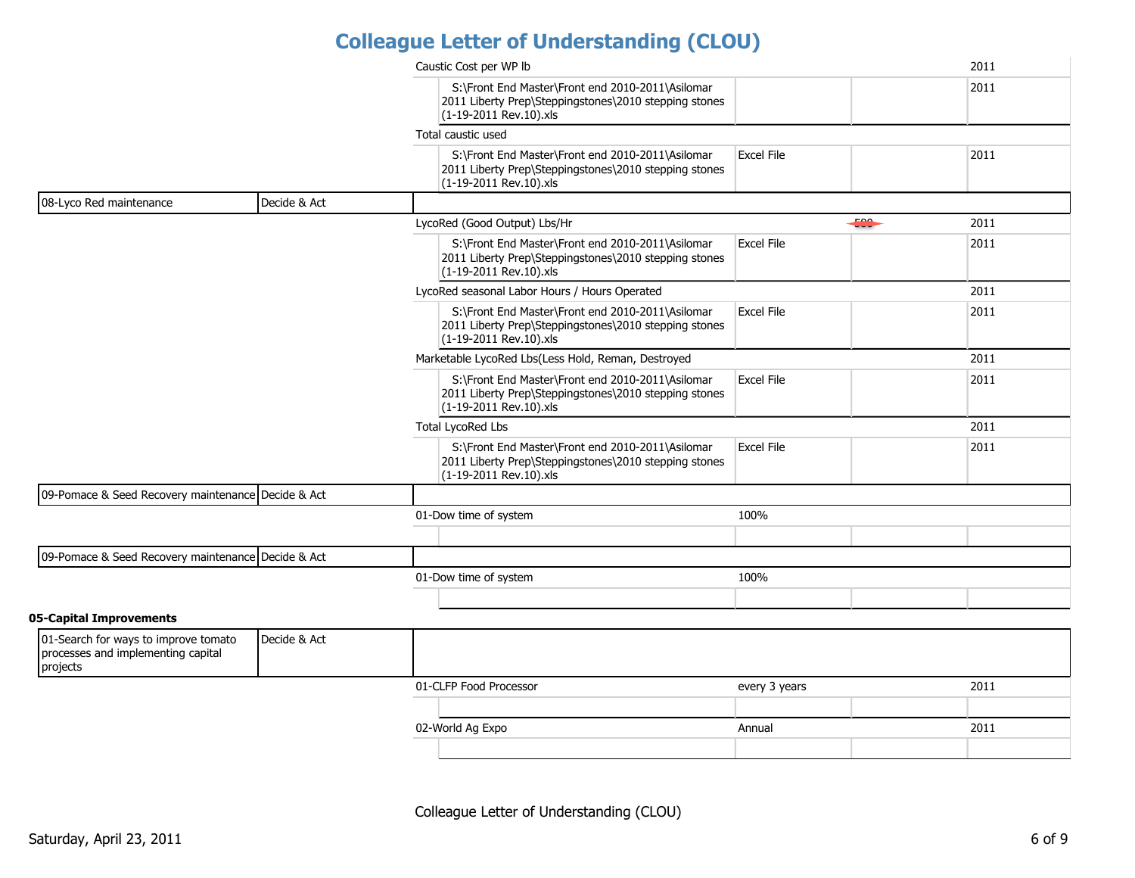|                                                                                        |              | Caustic Cost per WP lb                                                                                                              |                   | 2011 |
|----------------------------------------------------------------------------------------|--------------|-------------------------------------------------------------------------------------------------------------------------------------|-------------------|------|
|                                                                                        |              | S:\Front End Master\Front end 2010-2011\Asilomar<br>2011 Liberty Prep\Steppingstones\2010 stepping stones<br>(1-19-2011 Rev.10).xls |                   | 2011 |
|                                                                                        |              | Total caustic used                                                                                                                  |                   |      |
|                                                                                        |              | S:\Front End Master\Front end 2010-2011\Asilomar<br>2011 Liberty Prep\Steppingstones\2010 stepping stones<br>(1-19-2011 Rev.10).xls | <b>Excel File</b> | 2011 |
| 08-Lyco Red maintenance                                                                | Decide & Act |                                                                                                                                     |                   |      |
|                                                                                        |              | LycoRed (Good Output) Lbs/Hr                                                                                                        | 500               | 2011 |
|                                                                                        |              | S:\Front End Master\Front end 2010-2011\Asilomar<br>2011 Liberty Prep\Steppingstones\2010 stepping stones<br>(1-19-2011 Rev.10).xls | <b>Excel File</b> | 2011 |
|                                                                                        |              | LycoRed seasonal Labor Hours / Hours Operated                                                                                       |                   | 2011 |
|                                                                                        |              | S:\Front End Master\Front end 2010-2011\Asilomar<br>2011 Liberty Prep\Steppingstones\2010 stepping stones<br>(1-19-2011 Rev.10).xls | <b>Excel File</b> | 2011 |
|                                                                                        |              | Marketable LycoRed Lbs(Less Hold, Reman, Destroyed                                                                                  |                   | 2011 |
|                                                                                        |              | S:\Front End Master\Front end 2010-2011\Asilomar<br>2011 Liberty Prep\Steppingstones\2010 stepping stones<br>(1-19-2011 Rev.10).xls | <b>Excel File</b> | 2011 |
|                                                                                        |              | <b>Total LycoRed Lbs</b>                                                                                                            |                   | 2011 |
|                                                                                        |              | S:\Front End Master\Front end 2010-2011\Asilomar<br>2011 Liberty Prep\Steppingstones\2010 stepping stones<br>(1-19-2011 Rev.10).xls | <b>Excel File</b> | 2011 |
| 09-Pomace & Seed Recovery maintenance Decide & Act                                     |              |                                                                                                                                     |                   |      |
|                                                                                        |              | 01-Dow time of system                                                                                                               | 100%              |      |
|                                                                                        |              |                                                                                                                                     |                   |      |
| 09-Pomace & Seed Recovery maintenance Decide & Act                                     |              |                                                                                                                                     |                   |      |
|                                                                                        |              | 01-Dow time of system                                                                                                               | 100%              |      |
|                                                                                        |              |                                                                                                                                     |                   |      |
| 05-Capital Improvements                                                                |              |                                                                                                                                     |                   |      |
| 01-Search for ways to improve tomato<br>processes and implementing capital<br>projects | Decide & Act |                                                                                                                                     |                   |      |
|                                                                                        |              | 01-CLFP Food Processor                                                                                                              | every 3 years     | 2011 |
|                                                                                        |              |                                                                                                                                     |                   |      |
|                                                                                        |              | 02-World Ag Expo                                                                                                                    | Annual            | 2011 |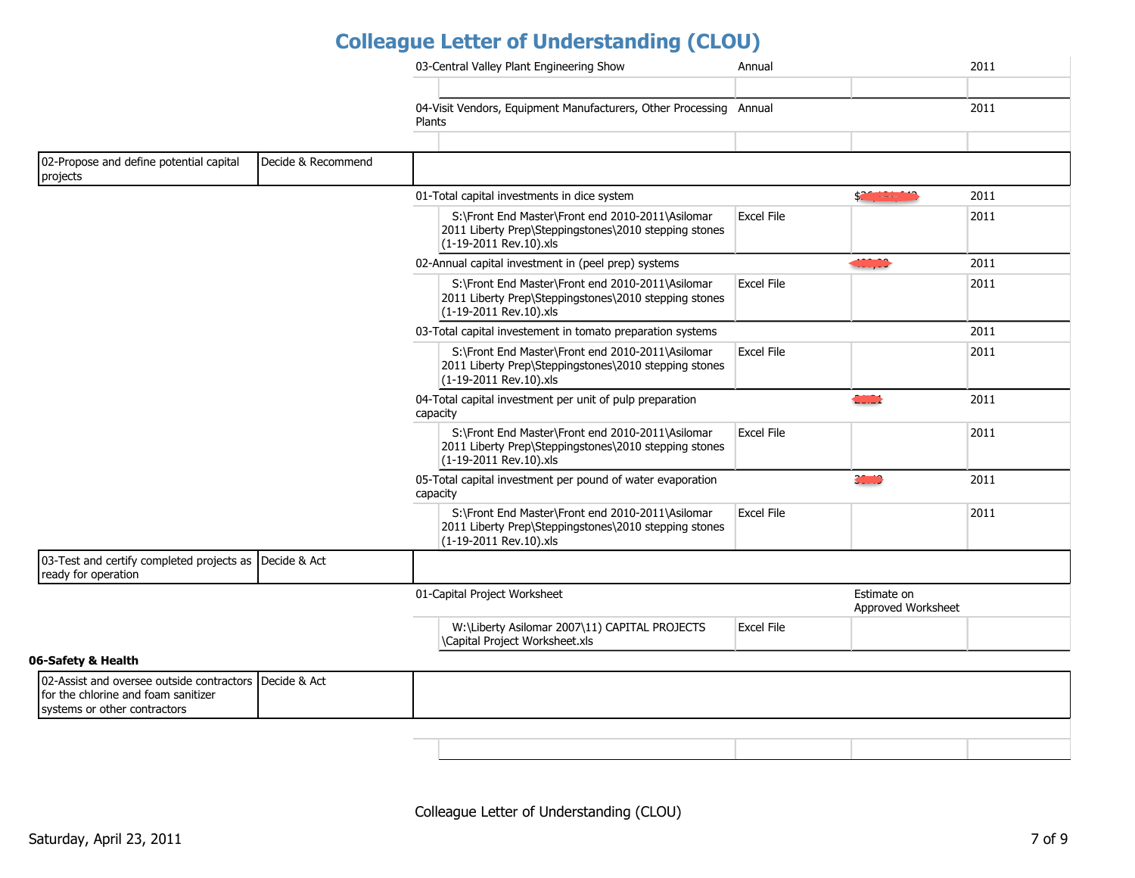|                                                                               |                    | 03-Central Valley Plant Engineering Show<br>Annual                                                                                                       | 2011 |
|-------------------------------------------------------------------------------|--------------------|----------------------------------------------------------------------------------------------------------------------------------------------------------|------|
|                                                                               |                    |                                                                                                                                                          |      |
|                                                                               |                    | 04-Visit Vendors, Equipment Manufacturers, Other Processing Annual<br>Plants                                                                             | 2011 |
|                                                                               |                    |                                                                                                                                                          |      |
| 02-Propose and define potential capital<br>projects                           | Decide & Recommend |                                                                                                                                                          |      |
|                                                                               |                    | \$26, 194, 196<br>01-Total capital investments in dice system                                                                                            | 2011 |
|                                                                               |                    | S:\Front End Master\Front end 2010-2011\Asilomar<br><b>Excel File</b><br>2011 Liberty Prep\Steppingstones\2010 stepping stones<br>(1-19-2011 Rev.10).xls | 2011 |
|                                                                               |                    | 400,00<br>02-Annual capital investment in (peel prep) systems                                                                                            | 2011 |
|                                                                               |                    | S:\Front End Master\Front end 2010-2011\Asilomar<br><b>Excel File</b><br>2011 Liberty Prep\Steppingstones\2010 stepping stones<br>(1-19-2011 Rev.10).xls | 2011 |
|                                                                               |                    | 03-Total capital investement in tomato preparation systems                                                                                               | 2011 |
|                                                                               |                    | S:\Front End Master\Front end 2010-2011\Asilomar<br><b>Excel File</b><br>2011 Liberty Prep\Steppingstones\2010 stepping stones<br>(1-19-2011 Rev.10).xls | 2011 |
|                                                                               |                    | <b>CONTRACT</b><br>04-Total capital investment per unit of pulp preparation<br>capacity                                                                  | 2011 |
|                                                                               |                    | S:\Front End Master\Front end 2010-2011\Asilomar<br><b>Excel File</b><br>2011 Liberty Prep\Steppingstones\2010 stepping stones<br>(1-19-2011 Rev.10).xls | 2011 |
|                                                                               |                    | <b>COMMO</b><br>05-Total capital investment per pound of water evaporation<br>capacity                                                                   | 2011 |
|                                                                               |                    | S:\Front End Master\Front end 2010-2011\Asilomar<br><b>Excel File</b><br>2011 Liberty Prep\Steppingstones\2010 stepping stones<br>(1-19-2011 Rev.10).xls | 2011 |
| 03-Test and certify completed projects as Decide & Act<br>ready for operation |                    |                                                                                                                                                          |      |
|                                                                               |                    | 01-Capital Project Worksheet<br>Estimate on<br>Approved Worksheet                                                                                        |      |
|                                                                               |                    | <b>Excel File</b><br>W:\Liberty Asilomar 2007\11) CAPITAL PROJECTS<br>\Capital Project Worksheet.xls                                                     |      |

#### 06-Safety & Health

| 102-Assist and oversee outside contractors I Decide & Act<br>Ifor the chlorine and foam sanitizer<br>I systems or other contractors |  |  |
|-------------------------------------------------------------------------------------------------------------------------------------|--|--|
|                                                                                                                                     |  |  |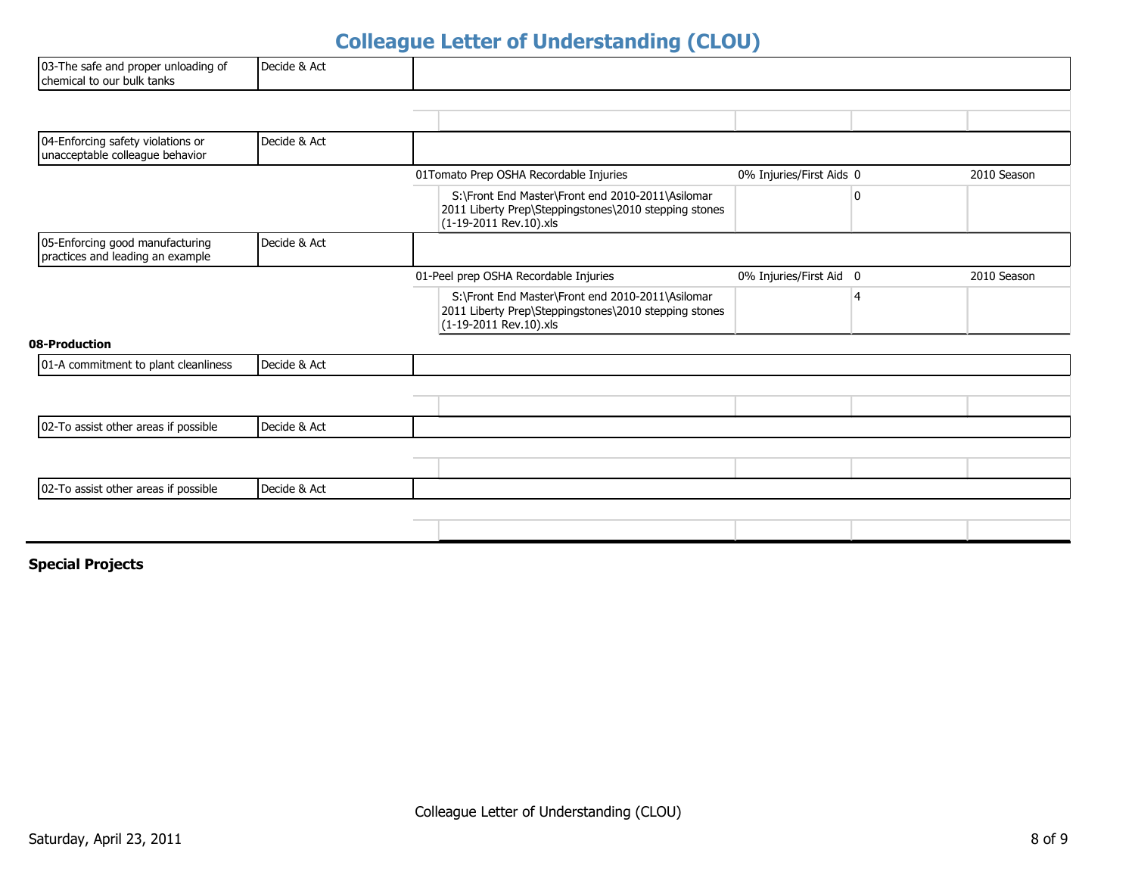| 03-The safe and proper unloading of<br>chemical to our bulk tanks    | Decide & Act |                                                                                                                                     |                          |              |             |
|----------------------------------------------------------------------|--------------|-------------------------------------------------------------------------------------------------------------------------------------|--------------------------|--------------|-------------|
|                                                                      |              |                                                                                                                                     |                          |              |             |
| 04-Enforcing safety violations or<br>unacceptable colleague behavior | Decide & Act |                                                                                                                                     |                          |              |             |
|                                                                      |              | 01Tomato Prep OSHA Recordable Injuries                                                                                              | 0% Injuries/First Aids 0 |              | 2010 Season |
|                                                                      |              | S:\Front End Master\Front end 2010-2011\Asilomar<br>2011 Liberty Prep\Steppingstones\2010 stepping stones<br>(1-19-2011 Rev.10).xls |                          | $\mathbf{0}$ |             |
| 05-Enforcing good manufacturing<br>practices and leading an example  | Decide & Act |                                                                                                                                     |                          |              |             |
|                                                                      |              | 01-Peel prep OSHA Recordable Injuries                                                                                               | 0% Injuries/First Aid 0  |              | 2010 Season |
|                                                                      |              | S:\Front End Master\Front end 2010-2011\Asilomar<br>2011 Liberty Prep\Steppingstones\2010 stepping stones<br>(1-19-2011 Rev.10).xls |                          | 4            |             |
| 08-Production                                                        |              |                                                                                                                                     |                          |              |             |
| 01-A commitment to plant cleanliness                                 | Decide & Act |                                                                                                                                     |                          |              |             |
|                                                                      |              |                                                                                                                                     |                          |              |             |
|                                                                      |              |                                                                                                                                     |                          |              |             |
| 02-To assist other areas if possible                                 | Decide & Act |                                                                                                                                     |                          |              |             |
|                                                                      |              |                                                                                                                                     |                          |              |             |
|                                                                      |              |                                                                                                                                     |                          |              |             |
| 02-To assist other areas if possible                                 | Decide & Act |                                                                                                                                     |                          |              |             |
|                                                                      |              |                                                                                                                                     |                          |              |             |
|                                                                      |              |                                                                                                                                     |                          |              |             |

### **Special Projects**